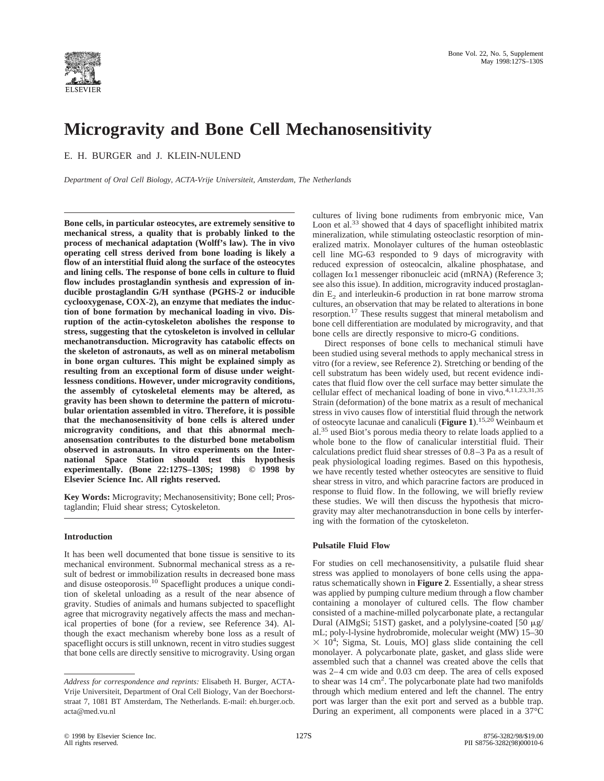

# **Microgravity and Bone Cell Mechanosensitivity**

E. H. BURGER and J. KLEIN-NULEND

*Department of Oral Cell Biology, ACTA-Vrije Universiteit, Amsterdam, The Netherlands*

**Bone cells, in particular osteocytes, are extremely sensitive to mechanical stress, a quality that is probably linked to the process of mechanical adaptation (Wolff's law). The in vivo operating cell stress derived from bone loading is likely a flow of an interstitial fluid along the surface of the osteocytes and lining cells. The response of bone cells in culture to fluid flow includes prostaglandin synthesis and expression of inducible prostaglandin G/H synthase (PGHS-2 or inducible cyclooxygenase, COX-2), an enzyme that mediates the induction of bone formation by mechanical loading in vivo. Disruption of the actin-cytoskeleton abolishes the response to stress, suggesting that the cytoskeleton is involved in cellular mechanotransduction. Microgravity has catabolic effects on the skeleton of astronauts, as well as on mineral metabolism in bone organ cultures. This might be explained simply as resulting from an exceptional form of disuse under weightlessness conditions. However, under microgravity conditions, the assembly of cytoskeletal elements may be altered, as gravity has been shown to determine the pattern of microtubular orientation assembled in vitro. Therefore, it is possible that the mechanosensitivity of bone cells is altered under microgravity conditions, and that this abnormal mechanosensation contributes to the disturbed bone metabolism observed in astronauts. In vitro experiments on the International Space Station should test this hypothesis experimentally. (Bone 22:127S–130S; 1998) © 1998 by Elsevier Science Inc. All rights reserved.**

**Key Words:** Microgravity; Mechanosensitivity; Bone cell; Prostaglandin; Fluid shear stress; Cytoskeleton.

## **Introduction**

It has been well documented that bone tissue is sensitive to its mechanical environment. Subnormal mechanical stress as a result of bedrest or immobilization results in decreased bone mass and disuse osteoporosis.10 Spaceflight produces a unique condition of skeletal unloading as a result of the near absence of gravity. Studies of animals and humans subjected to spaceflight agree that microgravity negatively affects the mass and mechanical properties of bone (for a review, see Reference 34). Although the exact mechanism whereby bone loss as a result of spaceflight occurs is still unknown, recent in vitro studies suggest that bone cells are directly sensitive to microgravity. Using organ cultures of living bone rudiments from embryonic mice, Van Loon et al. $33$  showed that 4 days of spaceflight inhibited matrix mineralization, while stimulating osteoclastic resorption of mineralized matrix. Monolayer cultures of the human osteoblastic cell line MG-63 responded to 9 days of microgravity with reduced expression of osteocalcin, alkaline phosphatase, and collagen Ia1 messenger ribonucleic acid (mRNA) (Reference 3; see also this issue). In addition, microgravity induced prostaglandin  $E<sub>2</sub>$  and interleukin-6 production in rat bone marrow stroma cultures, an observation that may be related to alterations in bone resorption.17 These results suggest that mineral metabolism and bone cell differentiation are modulated by microgravity, and that bone cells are directly responsive to micro-G conditions.

Direct responses of bone cells to mechanical stimuli have been studied using several methods to apply mechanical stress in vitro (for a review, see Reference 2). Stretching or bending of the cell substratum has been widely used, but recent evidence indicates that fluid flow over the cell surface may better simulate the cellular effect of mechanical loading of bone in vivo.4,11,23,31,35 Strain (deformation) of the bone matrix as a result of mechanical stress in vivo causes flow of interstitial fluid through the network of osteocyte lacunae and canaliculi (**Figure 1**).15,20 Weinbaum et al.<sup>35</sup> used Biot's porous media theory to relate loads applied to a whole bone to the flow of canalicular interstitial fluid. Their calculations predict fluid shear stresses of 0.8–3 Pa as a result of peak physiological loading regimes. Based on this hypothesis, we have recently tested whether osteocytes are sensitive to fluid shear stress in vitro, and which paracrine factors are produced in response to fluid flow. In the following, we will briefly review these studies. We will then discuss the hypothesis that microgravity may alter mechanotransduction in bone cells by interfering with the formation of the cytoskeleton.

### **Pulsatile Fluid Flow**

For studies on cell mechanosensitivity, a pulsatile fluid shear stress was applied to monolayers of bone cells using the apparatus schematically shown in **Figure 2**. Essentially, a shear stress was applied by pumping culture medium through a flow chamber containing a monolayer of cultured cells. The flow chamber consisted of a machine-milled polycarbonate plate, a rectangular Dural (AIMgSi; 51ST) gasket, and a polylysine-coated  $[50 \mu g$ / mL; poly-l-lysine hydrobromide, molecular weight (MW) 15–30  $\times$  10<sup>4</sup>; Sigma, St. Louis, MO] glass slide containing the cell monolayer. A polycarbonate plate, gasket, and glass slide were assembled such that a channel was created above the cells that was 2–4 cm wide and 0.03 cm deep. The area of cells exposed to shear was 14 cm<sup>2</sup>. The polycarbonate plate had two manifolds through which medium entered and left the channel. The entry port was larger than the exit port and served as a bubble trap. During an experiment, all components were placed in a 37°C

*Address for correspondence and reprints:* Elisabeth H. Burger, ACTA-Vrije Universiteit, Department of Oral Cell Biology, Van der Boechorststraat 7, 1081 BT Amsterdam, The Netherlands. E-mail: eh.burger.ocb. acta@med.vu.nl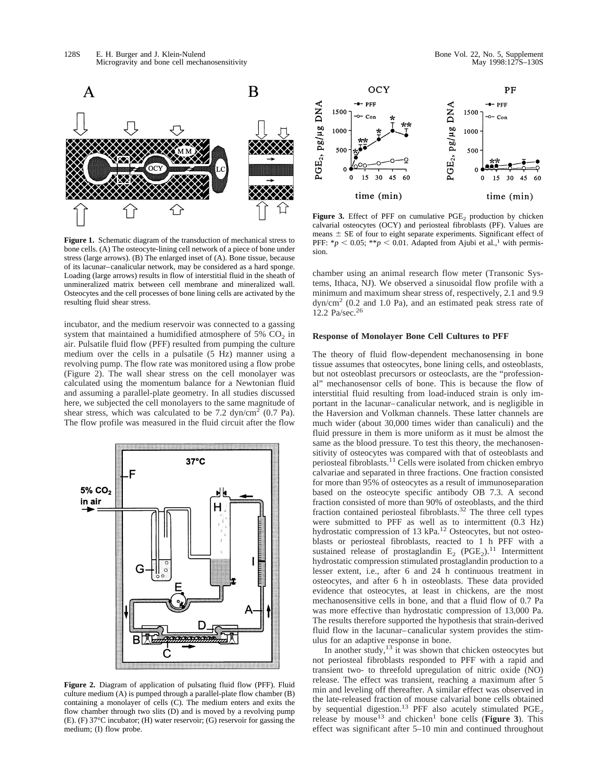

**Figure 1.** Schematic diagram of the transduction of mechanical stress to bone cells. (A) The osteocyte-lining cell network of a piece of bone under stress (large arrows). (B) The enlarged inset of (A). Bone tissue, because of its lacunar–canalicular network, may be considered as a hard sponge. Loading (large arrows) results in flow of interstitial fluid in the sheath of unmineralized matrix between cell membrane and mineralized wall. Osteocytes and the cell processes of bone lining cells are activated by the resulting fluid shear stress.

incubator, and the medium reservoir was connected to a gassing system that maintained a humidified atmosphere of  $5\%$  CO<sub>2</sub> in air. Pulsatile fluid flow (PFF) resulted from pumping the culture medium over the cells in a pulsatile (5 Hz) manner using a revolving pump. The flow rate was monitored using a flow probe (Figure 2). The wall shear stress on the cell monolayer was calculated using the momentum balance for a Newtonian fluid and assuming a parallel-plate geometry. In all studies discussed here, we subjected the cell monolayers to the same magnitude of shear stress, which was calculated to be  $7.2 \text{ dyn/cm}^2$  (0.7 Pa). The flow profile was measured in the fluid circuit after the flow



**Figure 2.** Diagram of application of pulsating fluid flow (PFF). Fluid culture medium (A) is pumped through a parallel-plate flow chamber (B) containing a monolayer of cells (C). The medium enters and exits the flow chamber through two slits (D) and is moved by a revolving pump (E). (F) 37°C incubator; (H) water reservoir; (G) reservoir for gassing the medium; (I) flow probe.



Figure 3. Effect of PFF on cumulative PGE<sub>2</sub> production by chicken calvarial osteocytes (OCY) and periosteal fibroblasts (PF). Values are means  $\pm$  SE of four to eight separate experiments. Significant effect of PFF:  $*p < 0.05$ ;  $**p < 0.01$ . Adapted from Ajubi et al.,<sup>1</sup> with permission.

chamber using an animal research flow meter (Transonic Systems, Ithaca, NJ). We observed a sinusoidal flow profile with a minimum and maximum shear stress of, respectively, 2.1 and 9.9  $dyn/cm<sup>2</sup>$  (0.2 and 1.0 Pa), and an estimated peak stress rate of 12.2 Pa/sec.26

#### **Response of Monolayer Bone Cell Cultures to PFF**

The theory of fluid flow-dependent mechanosensing in bone tissue assumes that osteocytes, bone lining cells, and osteoblasts, but not osteoblast precursors or osteoclasts, are the "professional" mechanosensor cells of bone. This is because the flow of interstitial fluid resulting from load-induced strain is only important in the lacunar–canalicular network, and is negligible in the Haversion and Volkman channels. These latter channels are much wider (about 30,000 times wider than canaliculi) and the fluid pressure in them is more uniform as it must be almost the same as the blood pressure. To test this theory, the mechanosensitivity of osteocytes was compared with that of osteoblasts and periosteal fibroblasts.11 Cells were isolated from chicken embryo calvariae and separated in three fractions. One fraction consisted for more than 95% of osteocytes as a result of immunoseparation based on the osteocyte specific antibody OB 7.3. A second fraction consisted of more than 90% of osteoblasts, and the third fraction contained periosteal fibroblasts.32 The three cell types were submitted to PFF as well as to intermittent (0.3 Hz) hydrostatic compression of 13 kPa.<sup>12</sup> Osteocytes, but not osteoblasts or periosteal fibroblasts, reacted to 1 h PFF with a sustained release of prostaglandin  $E_2$  (PGE<sub>2</sub>).<sup>11</sup> Intermittent hydrostatic compression stimulated prostaglandin production to a lesser extent, i.e., after 6 and 24 h continuous treatment in osteocytes, and after 6 h in osteoblasts. These data provided evidence that osteocytes, at least in chickens, are the most mechanosensitive cells in bone, and that a fluid flow of 0.7 Pa was more effective than hydrostatic compression of 13,000 Pa. The results therefore supported the hypothesis that strain-derived fluid flow in the lacunar–canalicular system provides the stimulus for an adaptive response in bone.

In another study, $13$  it was shown that chicken osteocytes but not periosteal fibroblasts responded to PFF with a rapid and transient two- to threefold upregulation of nitric oxide (NO) release. The effect was transient, reaching a maximum after 5 min and leveling off thereafter. A similar effect was observed in the late-released fraction of mouse calvarial bone cells obtained by sequential digestion.<sup>13</sup> PFF also acutely stimulated  $PGE_2$ release by mouse<sup>13</sup> and chicken<sup>1</sup> bone cells (Figure 3). This effect was significant after 5–10 min and continued throughout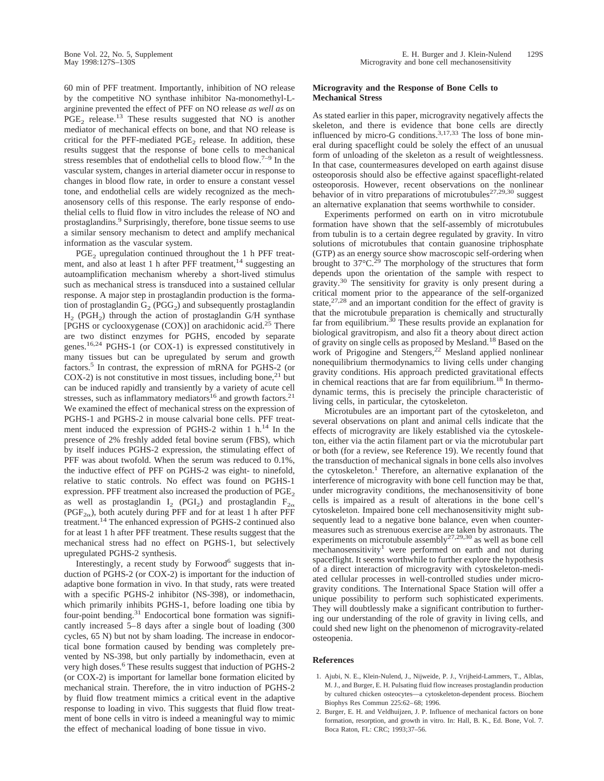60 min of PFF treatment. Importantly, inhibition of NO release by the competitive NO synthase inhibitor Na-monomethyl-Larginine prevented the effect of PFF on NO release *as well as* on  $PGE<sub>2</sub>$  release.<sup>13</sup> These results suggested that NO is another mediator of mechanical effects on bone, and that NO release is critical for the PFF-mediated  $PGE<sub>2</sub>$  release. In addition, these results suggest that the response of bone cells to mechanical stress resembles that of endothelial cells to blood flow.<sup>7–9</sup> In the vascular system, changes in arterial diameter occur in response to changes in blood flow rate, in order to ensure a constant vessel tone, and endothelial cells are widely recognized as the mechanosensory cells of this response. The early response of endothelial cells to fluid flow in vitro includes the release of NO and prostaglandins.<sup>9</sup> Surprisingly, therefore, bone tissue seems to use a similar sensory mechanism to detect and amplify mechanical information as the vascular system.

PGE<sub>2</sub> upregulation continued throughout the 1 h PFF treatment, and also at least 1 h after PFF treatment,<sup>14</sup> suggesting an autoamplification mechanism whereby a short-lived stimulus such as mechanical stress is transduced into a sustained cellular response. A major step in prostaglandin production is the formation of prostaglandin  $G_2$  (PGG<sub>2</sub>) and subsequently prostaglandin  $H<sub>2</sub>$  (PGH<sub>2</sub>) through the action of prostaglandin G/H synthase [PGHS or cyclooxygenase  $(COX)$ ] on arachidonic acid.<sup>25</sup> There are two distinct enzymes for PGHS, encoded by separate genes.16,24 PGHS-1 (or COX-1) is expressed constitutively in many tissues but can be upregulated by serum and growth factors.5 In contrast, the expression of mRNA for PGHS-2 (or  $COX-2$ ) is not constitutive in most tissues, including bone,<sup>21</sup> but can be induced rapidly and transiently by a variety of acute cell stresses, such as inflammatory mediators<sup>16</sup> and growth factors.<sup>21</sup> We examined the effect of mechanical stress on the expression of PGHS-1 and PGHS-2 in mouse calvarial bone cells. PFF treatment induced the expression of PGHS-2 within 1  $h^{14}$  In the presence of 2% freshly added fetal bovine serum (FBS), which by itself induces PGHS-2 expression, the stimulating effect of PFF was about twofold. When the serum was reduced to 0.1%, the inductive effect of PFF on PGHS-2 was eight- to ninefold, relative to static controls. No effect was found on PGHS-1 expression. PFF treatment also increased the production of  $PGE<sub>2</sub>$ as well as prostaglandin I<sub>2</sub> (PGI<sub>2</sub>) and prostaglandin  $F_{2\alpha}$  $(PGF_{2\alpha})$ , both acutely during PFF and for at least 1 h after PFF treatment.14 The enhanced expression of PGHS-2 continued also for at least 1 h after PFF treatment. These results suggest that the mechanical stress had no effect on PGHS-1, but selectively upregulated PGHS-2 synthesis.

Interestingly, a recent study by Forwood $6$  suggests that induction of PGHS-2 (or COX-2) is important for the induction of adaptive bone formation in vivo. In that study, rats were treated with a specific PGHS-2 inhibitor (NS-398), or indomethacin, which primarily inhibits PGHS-1, before loading one tibia by four-point bending.<sup>31</sup> Endocortical bone formation was significantly increased 5–8 days after a single bout of loading (300 cycles, 65 N) but not by sham loading. The increase in endocortical bone formation caused by bending was completely prevented by NS-398, but only partially by indomethacin, even at very high doses.<sup>6</sup> These results suggest that induction of PGHS-2 (or COX-2) is important for lamellar bone formation elicited by mechanical strain. Therefore, the in vitro induction of PGHS-2 by fluid flow treatment mimics a critical event in the adaptive response to loading in vivo. This suggests that fluid flow treatment of bone cells in vitro is indeed a meaningful way to mimic the effect of mechanical loading of bone tissue in vivo.

#### **Microgravity and the Response of Bone Cells to Mechanical Stress**

As stated earlier in this paper, microgravity negatively affects the skeleton, and there is evidence that bone cells are directly influenced by micro-G conditions. $3,17,33$  The loss of bone mineral during spaceflight could be solely the effect of an unusual form of unloading of the skeleton as a result of weightlessness. In that case, countermeasures developed on earth against disuse osteoporosis should also be effective against spaceflight-related osteoporosis. However, recent observations on the nonlinear behavior of in vitro preparations of microtubules<sup>27,29,30</sup> suggest an alternative explanation that seems worthwhile to consider.

Experiments performed on earth on in vitro microtubule formation have shown that the self-assembly of microtubules from tubulin is to a certain degree regulated by gravity. In vitro solutions of microtubules that contain guanosine triphosphate (GTP) as an energy source show macroscopic self-ordering when brought to  $37^{\circ}$ C.<sup>29</sup> The morphology of the structures that form depends upon the orientation of the sample with respect to gravity.30 The sensitivity for gravity is only present during a critical moment prior to the appearance of the self-organized state,<sup>27,28</sup> and an important condition for the effect of gravity is that the microtubule preparation is chemically and structurally far from equilibrium.<sup>30</sup> These results provide an explanation for biological gravitropism, and also fit a theory about direct action of gravity on single cells as proposed by Mesland.<sup>18</sup> Based on the work of Prigogine and Stengers,<sup>22</sup> Mesland applied nonlinear nonequilibrium thermodynamics to living cells under changing gravity conditions. His approach predicted gravitational effects in chemical reactions that are far from equilibrium.<sup>18</sup> In thermodynamic terms, this is precisely the principle characteristic of living cells, in particular, the cytoskeleton.

Microtubules are an important part of the cytoskeleton, and several observations on plant and animal cells indicate that the effects of microgravity are likely established via the cytoskeleton, either via the actin filament part or via the microtubular part or both (for a review, see Reference 19). We recently found that the transduction of mechanical signals in bone cells also involves the cytoskeleton.<sup>1</sup> Therefore, an alternative explanation of the interference of microgravity with bone cell function may be that, under microgravity conditions, the mechanosensitivity of bone cells is impaired as a result of alterations in the bone cell's cytoskeleton. Impaired bone cell mechanosensitivity might subsequently lead to a negative bone balance, even when countermeasures such as strenuous exercise are taken by astronauts. The experiments on microtubule assembly<sup>27,29,30</sup> as well as bone cell mechanosensitivity<sup>1</sup> were performed on earth and not during spaceflight. It seems worthwhile to further explore the hypothesis of a direct interaction of microgravity with cytoskeleton-mediated cellular processes in well-controlled studies under microgravity conditions. The International Space Station will offer a unique possibility to perform such sophisticated experiments. They will doubtlessly make a significant contribution to furthering our understanding of the role of gravity in living cells, and could shed new light on the phenomenon of microgravity-related osteopenia.

### **References**

- 1. Ajubi, N. E., Klein-Nulend, J., Nijweide, P. J., Vrijheid-Lammers, T., Alblas, M. J., and Burger, E. H. Pulsating fluid flow increases prostaglandin production by cultured chicken osteocytes—a cytoskeleton-dependent process. Biochem Biophys Res Commun 225:62–68; 1996.
- 2. Burger, E. H. and Veldhuijzen, J. P. Influence of mechanical factors on bone formation, resorption, and growth in vitro. In: Hall, B. K., Ed. Bone, Vol. 7. Boca Raton, FL: CRC; 1993;37–56.